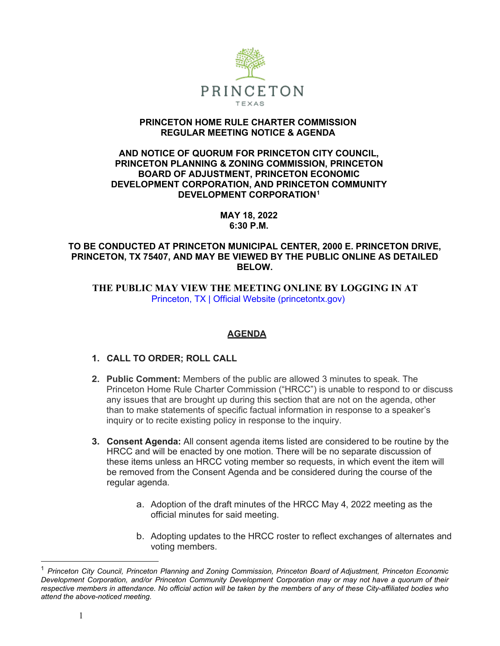

### **PRINCETON HOME RULE CHARTER COMMISSION REGULAR MEETING NOTICE & AGENDA**

### **AND NOTICE OF QUORUM FOR PRINCETON CITY COUNCIL, PRINCETON PLANNING & ZONING COMMISSION, PRINCETON BOARD OF ADJUSTMENT, PRINCETON ECONOMIC DEVELOPMENT CORPORATION, AND PRINCETON COMMUNITY DEVELOPMENT CORPORATION[1](#page-0-0)**

**MAY 18, 2022 6:30 P.M.**

## **TO BE CONDUCTED AT PRINCETON MUNICIPAL CENTER, 2000 E. PRINCETON DRIVE, PRINCETON, TX 75407, AND MAY BE VIEWED BY THE PUBLIC ONLINE AS DETAILED BELOW.**

 **THE PUBLIC MAY VIEW THE MEETING ONLINE BY LOGGING IN AT**  Princeton, TX | Official Website (princetontx.gov)

# **AGENDA**

# **1. CALL TO ORDER; ROLL CALL**

- **2. Public Comment:** Members of the public are allowed 3 minutes to speak. The Princeton Home Rule Charter Commission ("HRCC") is unable to respond to or discuss any issues that are brought up during this section that are not on the agenda, other than to make statements of specific factual information in response to a speaker's inquiry or to recite existing policy in response to the inquiry.
- **3. Consent Agenda:** All consent agenda items listed are considered to be routine by the HRCC and will be enacted by one motion. There will be no separate discussion of these items unless an HRCC voting member so requests, in which event the item will be removed from the Consent Agenda and be considered during the course of the regular agenda.
	- a. Adoption of the draft minutes of the HRCC May 4, 2022 meeting as the official minutes for said meeting.
	- b. Adopting updates to the HRCC roster to reflect exchanges of alternates and voting members.

<span id="page-0-0"></span><sup>1</sup> *Princeton City Council, Princeton Planning and Zoning Commission, Princeton Board of Adjustment, Princeton Economic Development Corporation, and/or Princeton Community Development Corporation may or may not have a quorum of their* respective members in attendance. No official action will be taken by the members of any of these City-affiliated bodies who *attend the above-noticed meeting.*